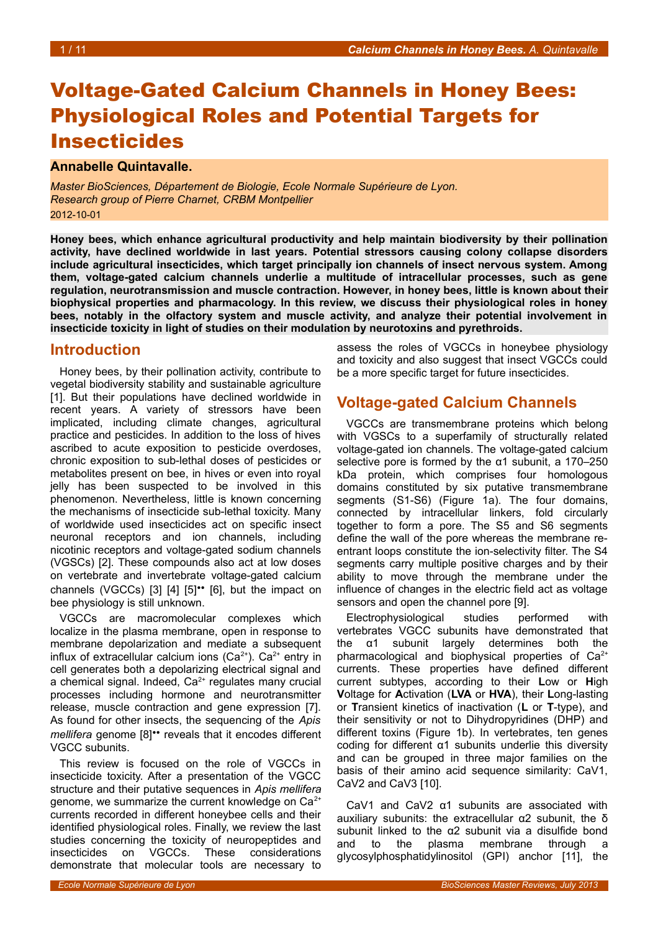# Voltage-Gated Calcium Channels in Honey Bees: Physiological Roles and Potential Targets for Insecticides

### **Annabelle Quintavalle.**

*Master BioSciences, Département de Biologie, Ecole Normale Supérieure de Lyon. Research group of Pierre Charnet, CRBM Montpellier* 2012-10-01

**Honey bees, which enhance agricultural productivity and help maintain biodiversity by their pollination activity, have declined worldwide in last years. Potential stressors causing colony collapse disorders include agricultural insecticides, which target principally ion channels of insect nervous system. Among them, voltage-gated calcium channels underlie a multitude of intracellular processes, such as gene regulation, neurotransmission and muscle contraction. However, in honey bees, little is known about their biophysical properties and pharmacology. In this review, we discuss their physiological roles in honey bees, notably in the olfactory system and muscle activity, and analyze their potential involvement in insecticide toxicity in light of studies on their modulation by neurotoxins and pyrethroids.**

### **Introduction**

Honey bees, by their pollination activity, contribute to vegetal biodiversity stability and sustainable agriculture [1]. But their populations have declined worldwide in recent years. A variety of stressors have been implicated, including climate changes, agricultural practice and pesticides. In addition to the loss of hives ascribed to acute exposition to pesticide overdoses, chronic exposition to sub-lethal doses of pesticides or metabolites present on bee, in hives or even into royal jelly has been suspected to be involved in this phenomenon. Nevertheless, little is known concerning the mechanisms of insecticide sub-lethal toxicity. Many of worldwide used insecticides act on specific insect neuronal receptors and ion channels, including nicotinic receptors and voltage-gated sodium channels (VGSCs) [2]. These compounds also act at low doses on vertebrate and invertebrate voltage-gated calcium channels (VGCCs) [3] [4] [5]•• [6], but the impact on bee physiology is still unknown.

VGCCs are macromolecular complexes which localize in the plasma membrane, open in response to membrane depolarization and mediate a subsequent influx of extracellular calcium ions  $(Ca^{2+})$ . Ca<sup>2+</sup> entry in cell generates both a depolarizing electrical signal and a chemical signal. Indeed, Ca<sup>2+</sup> regulates many crucial processes including hormone and neurotransmitter release, muscle contraction and gene expression [7]. As found for other insects, the sequencing of the *Apis mellifera* genome [8]•• reveals that it encodes different VGCC subunits.

This review is focused on the role of VGCCs in insecticide toxicity. After a presentation of the VGCC structure and their putative sequences in *Apis mellifera* genome, we summarize the current knowledge on  $Ca<sup>2+</sup>$ currents recorded in different honeybee cells and their identified physiological roles. Finally, we review the last studies concerning the toxicity of neuropeptides and insecticides on VGCCs. These considerations demonstrate that molecular tools are necessary to

assess the roles of VGCCs in honeybee physiology and toxicity and also suggest that insect VGCCs could be a more specific target for future insecticides.

## **Voltage-gated Calcium Channels**

VGCCs are transmembrane proteins which belong with VGSCs to a superfamily of structurally related voltage-gated ion channels. The voltage-gated calcium selective pore is formed by the  $\alpha$ 1 subunit, a 170–250 kDa protein, which comprises four homologous domains constituted by six putative transmembrane segments (S1-S6) (Figure [1a](#page-1-0)). The four domains, connected by intracellular linkers, fold circularly together to form a pore. The S5 and S6 segments define the wall of the pore whereas the membrane reentrant loops constitute the ion-selectivity filter. The S4 segments carry multiple positive charges and by their ability to move through the membrane under the influence of changes in the electric field act as voltage sensors and open the channel pore [9].

Electrophysiological studies performed with vertebrates VGCC subunits have demonstrated that the α1 subunit largely determines both the pharmacological and biophysical properties of  $Ca<sup>2+</sup>$ currents. These properties have defined different current subtypes, according to their **L**ow or **H**igh **V**oltage for **A**ctivation (**LVA** or **HVA**), their **L**ong-lasting or **T**ransient kinetics of inactivation (**L** or **T**-type), and their sensitivity or not to Dihydropyridines (DHP) and different toxins (Figure [1b](#page-1-0)). In vertebrates, ten genes coding for different α1 subunits underlie this diversity and can be grouped in three major families on the basis of their amino acid sequence similarity: CaV1, CaV2 and CaV3 [10].

CaV1 and CaV2 α1 subunits are associated with auxiliary subunits: the extracellular α2 subunit, the δ subunit linked to the α2 subunit via a disulfide bond and to the plasma membrane through a glycosylphosphatidylinositol (GPI) anchor [11], the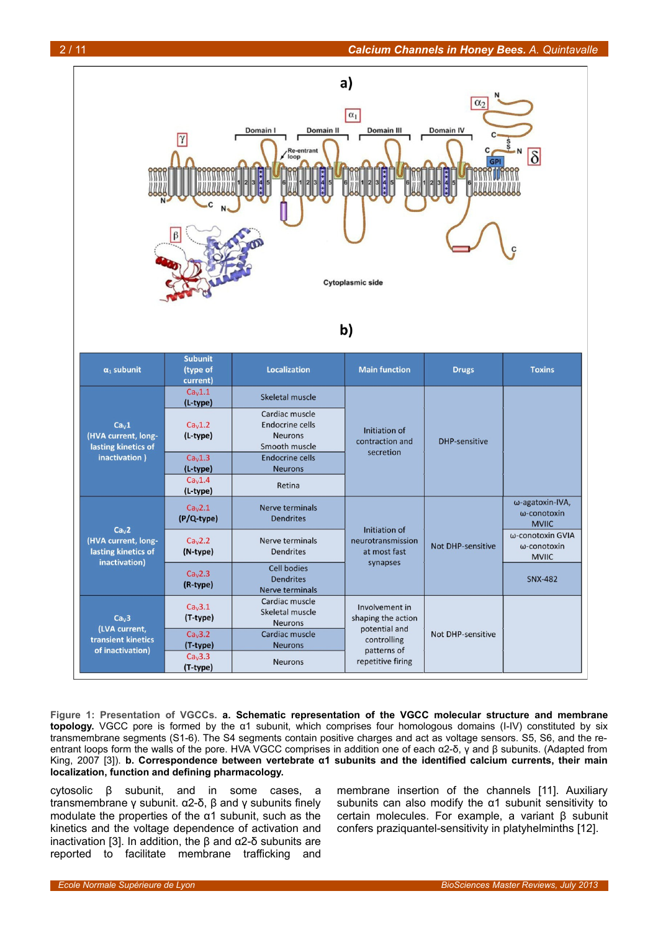

<span id="page-1-0"></span>**Figure 1: Presentation of VGCCs. a. Schematic representation of the VGCC molecular structure and membrane topology.** VGCC pore is formed by the α1 subunit, which comprises four homologous domains (I-IV) constituted by six transmembrane segments (S1-6). The S4 segments contain positive charges and act as voltage sensors. S5, S6, and the reentrant loops form the walls of the pore. HVA VGCC comprises in addition one of each α2-δ, γ and β subunits. (Adapted from King, 2007 [3]). **b. Correspondence between vertebrate α1 subunits and the identified calcium currents, their main localization, function and defining pharmacology.** 

cytosolic β subunit, and in some cases, a transmembrane γ subunit. α2-δ, β and γ subunits finely modulate the properties of the α1 subunit, such as the kinetics and the voltage dependence of activation and inactivation [3]. In addition, the  $β$  and  $α2-δ$  subunits are reported to facilitate membrane trafficking and

membrane insertion of the channels [11]. Auxiliary subunits can also modify the α1 subunit sensitivity to certain molecules. For example, a variant β subunit confers praziquantel-sensitivity in platyhelminths [12].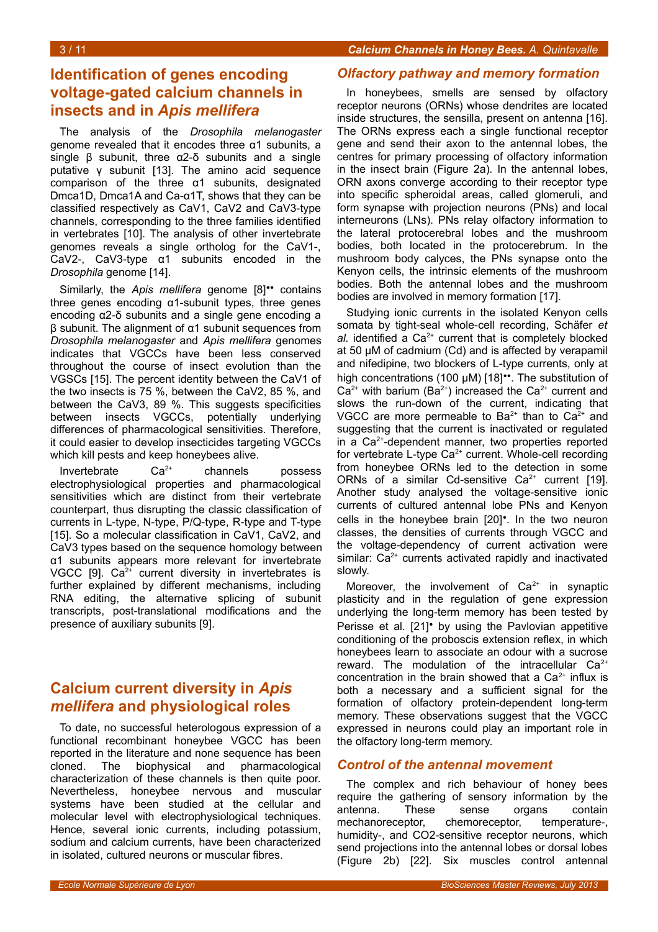## **Identification of genes encoding voltage-gated calcium channels in insects and in** *Apis mellifera*

The analysis of the *Drosophila melanogaster* genome revealed that it encodes three α1 subunits, a single β subunit, three α2-δ subunits and a single putative γ subunit [13]. The amino acid sequence comparison of the three α1 subunits, designated Dmca1D, Dmca1A and Ca-α1T, shows that they can be classified respectively as CaV1, CaV2 and CaV3-type channels, corresponding to the three families identified in vertebrates [10]. The analysis of other invertebrate genomes reveals a single ortholog for the CaV1-, CaV2-, CaV3-type α1 subunits encoded in the *Drosophila* genome [14].

Similarly, the *Apis mellifera* genome [8]•• contains three genes encoding α1-subunit types, three genes encoding α2-δ subunits and a single gene encoding a β subunit. The alignment of α1 subunit sequences from *Drosophila melanogaster* and *Apis mellifera* genomes indicates that VGCCs have been less conserved throughout the course of insect evolution than the VGSCs [15]. The percent identity between the CaV1 of the two insects is 75 %, between the CaV2, 85 %, and between the CaV3, 89 %. This suggests specificities between insects VGCCs, potentially underlying differences of pharmacological sensitivities. Therefore, it could easier to develop insecticides targeting VGCCs which kill pests and keep honeybees alive.

Invertebrate  $Ca^{2+}$  channels possess electrophysiological properties and pharmacological sensitivities which are distinct from their vertebrate counterpart, thus disrupting the classic classification of currents in L-type, N-type, P/Q-type, R-type and T-type [15]. So a molecular classification in CaV1, CaV2, and CaV3 types based on the sequence homology between α1 subunits appears more relevant for invertebrate VGCC  $[9]$ . Ca<sup>2+</sup> current diversity in invertebrates is further explained by different mechanisms, including RNA editing, the alternative splicing of subunit transcripts, post-translational modifications and the presence of auxiliary subunits [9].

## **Calcium current diversity in** *Apis mellifera* **and physiological roles**

To date, no successful heterologous expression of a functional recombinant honeybee VGCC has been reported in the literature and none sequence has been cloned. The biophysical and pharmacological characterization of these channels is then quite poor. Nevertheless, honeybee nervous and muscular systems have been studied at the cellular and molecular level with electrophysiological techniques. Hence, several ionic currents, including potassium, sodium and calcium currents, have been characterized in isolated, cultured neurons or muscular fibres.

## *Olfactory pathway and memory formation*

In honeybees, smells are sensed by olfactory receptor neurons (ORNs) whose dendrites are located inside structures, the sensilla, present on antenna [16]. The ORNs express each a single functional receptor gene and send their axon to the antennal lobes, the centres for primary processing of olfactory information in the insect brain (Figure [2a](#page-3-0)). In the antennal lobes, ORN axons converge according to their receptor type into specific spheroidal areas, called glomeruli, and form synapse with projection neurons (PNs) and local interneurons (LNs). PNs relay olfactory information to the lateral protocerebral lobes and the mushroom bodies, both located in the protocerebrum. In the mushroom body calyces, the PNs synapse onto the Kenyon cells, the intrinsic elements of the mushroom bodies. Both the antennal lobes and the mushroom bodies are involved in memory formation [17].

Studying ionic currents in the isolated Kenyon cells somata by tight-seal whole-cell recording, Schäfer *et*  $al.$  identified a  $Ca<sup>2+</sup>$  current that is completely blocked at 50 μM of cadmium (Cd) and is affected by verapamil and nifedipine, two blockers of L-type currents, only at high concentrations (100 μM) [18]••. The substitution of  $Ca<sup>2+</sup>$  with barium (Ba<sup>2+</sup>) increased the Ca<sup>2+</sup> current and slows the run-down of the current, indicating that VGCC are more permeable to Ba<sup>2+</sup> than to Ca<sup>2+</sup> and suggesting that the current is inactivated or regulated in a  $Ca<sup>2+</sup>$ -dependent manner, two properties reported for vertebrate L-type  $Ca^{2+}$  current. Whole-cell recording from honeybee ORNs led to the detection in some ORNs of a similar Cd-sensitive  $Ca<sup>2+</sup>$  current [19]. Another study analysed the voltage-sensitive ionic currents of cultured antennal lobe PNs and Kenyon cells in the honeybee brain [20]•. In the two neuron classes, the densities of currents through VGCC and the voltage-dependency of current activation were similar:  $Ca<sup>2+</sup>$  currents activated rapidly and inactivated slowly.

Moreover, the involvement of  $Ca<sup>2+</sup>$  in synaptic plasticity and in the regulation of gene expression underlying the long-term memory has been tested by Perisse et al. [21]• by using the Pavlovian appetitive conditioning of the proboscis extension reflex, in which honeybees learn to associate an odour with a sucrose reward. The modulation of the intracellular  $Ca^{2+}$ concentration in the brain showed that a  $Ca<sup>2+</sup>$  influx is both a necessary and a sufficient signal for the formation of olfactory protein-dependent long-term memory. These observations suggest that the VGCC expressed in neurons could play an important role in the olfactory long-term memory.

## *Control of the antennal movement*

The complex and rich behaviour of honey bees require the gathering of sensory information by the antenna. These sense organs contain mechanoreceptor, chemoreceptor, temperature-, humidity-, and CO2-sensitive receptor neurons, which send projections into the antennal lobes or dorsal lobes (Figure [2b](#page-3-0)) [22]. Six muscles control antennal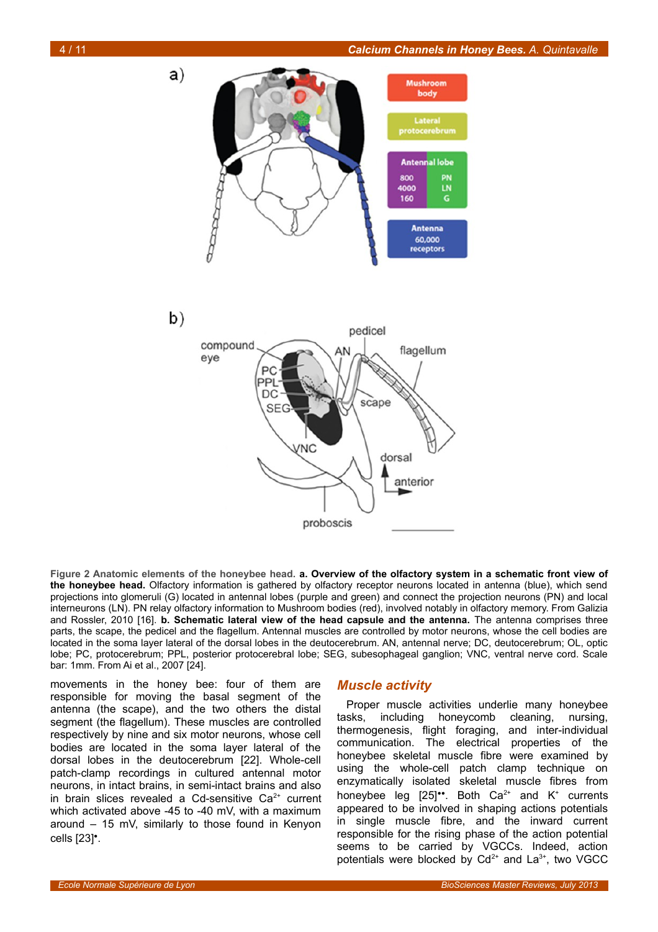

<span id="page-3-0"></span>**Figure 2 Anatomic elements of the honeybee head. a. Overview of the olfactory system in a schematic front view of the honeybee head.** Olfactory information is gathered by olfactory receptor neurons located in antenna (blue), which send projections into glomeruli (G) located in antennal lobes (purple and green) and connect the projection neurons (PN) and local interneurons (LN). PN relay olfactory information to Mushroom bodies (red), involved notably in olfactory memory. From Galizia and Rossler, 2010 [16]. **b. Schematic lateral view of the head capsule and the antenna.** The antenna comprises three parts, the scape, the pedicel and the flagellum. Antennal muscles are controlled by motor neurons, whose the cell bodies are located in the soma layer lateral of the dorsal lobes in the deutocerebrum. AN, antennal nerve; DC, deutocerebrum; OL, optic lobe; PC, protocerebrum; PPL, posterior protocerebral lobe; SEG, subesophageal ganglion; VNC, ventral nerve cord. Scale bar: 1mm. From Ai et al., 2007 [24].

movements in the honey bee: four of them are responsible for moving the basal segment of the antenna (the scape), and the two others the distal segment (the flagellum). These muscles are controlled respectively by nine and six motor neurons, whose cell bodies are located in the soma layer lateral of the dorsal lobes in the deutocerebrum [22]. Whole-cell patch-clamp recordings in cultured antennal motor neurons, in intact brains, in semi-intact brains and also in brain slices revealed a Cd-sensitive  $Ca<sup>2+</sup>$  current which activated above -45 to -40 mV, with a maximum around – 15 mV, similarly to those found in Kenyon cells [23]•.

### *Muscle activity*

Proper muscle activities underlie many honeybee tasks, including honeycomb cleaning, nursing, thermogenesis, flight foraging, and inter-individual communication. The electrical properties of the honeybee skeletal muscle fibre were examined by using the whole-cell patch clamp technique on enzymatically isolated skeletal muscle fibres from honeybee leg  $[25]$ <sup>\*</sup>. Both Ca<sup>2+</sup> and K<sup>+</sup> currents appeared to be involved in shaping actions potentials in single muscle fibre, and the inward current responsible for the rising phase of the action potential seems to be carried by VGCCs. Indeed, action potentials were blocked by  $Cd^{2+}$  and  $La^{3+}$ , two VGCC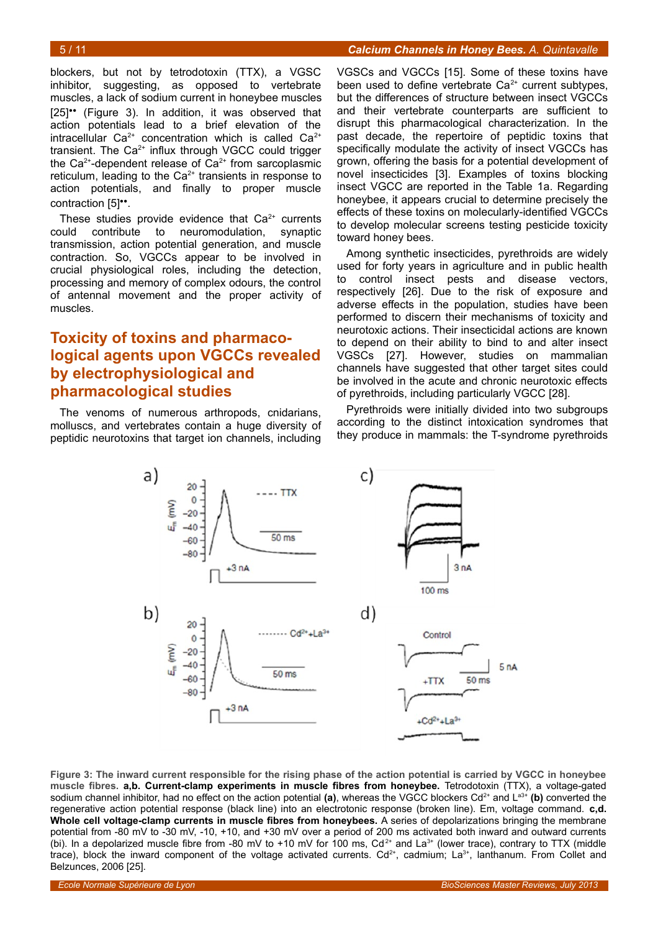#### 5 / 11 *Calcium Channels in Honey Bees. A. Quintavalle*

blockers, but not by tetrodotoxin (TTX), a VGSC inhibitor, suggesting, as opposed to vertebrate muscles, a lack of sodium current in honeybee muscles [25]•• (Figure [3\)](#page-4-0). In addition, it was observed that action potentials lead to a brief elevation of the intracellular  $Ca^{2+}$  concentration which is called  $Ca^{2+}$ transient. The  $Ca<sup>2+</sup>$  influx through VGCC could trigger the Ca<sup>2+</sup>-dependent release of Ca<sup>2+</sup> from sarcoplasmic reticulum, leading to the  $Ca<sup>2+</sup>$  transients in response to action potentials, and finally to proper muscle contraction [5]••.

These studies provide evidence that  $Ca<sup>2+</sup>$  currents could contribute to neuromodulation, synaptic transmission, action potential generation, and muscle contraction. So, VGCCs appear to be involved in crucial physiological roles, including the detection, processing and memory of complex odours, the control of antennal movement and the proper activity of muscles.

## **Toxicity of toxins and pharmacological agents upon VGCCs revealed by electrophysiological and pharmacological studies**

The venoms of numerous arthropods, cnidarians, molluscs, and vertebrates contain a huge diversity of peptidic neurotoxins that target ion channels, including

VGSCs and VGCCs [15]. Some of these toxins have been used to define vertebrate  $Ca<sup>2+</sup>$  current subtypes, but the differences of structure between insect VGCCs and their vertebrate counterparts are sufficient to disrupt this pharmacological characterization. In the past decade, the repertoire of peptidic toxins that specifically modulate the activity of insect VGCCs has grown, offering the basis for a potential development of novel insecticides [3]. Examples of toxins blocking insect VGCC are reported in the Table [1a](#page-5-0). Regarding honeybee, it appears crucial to determine precisely the effects of these toxins on molecularly-identified VGCCs to develop molecular screens testing pesticide toxicity toward honey bees.

Among synthetic insecticides, pyrethroids are widely used for forty years in agriculture and in public health to control insect pests and disease vectors, respectively [26]. Due to the risk of exposure and adverse effects in the population, studies have been performed to discern their mechanisms of toxicity and neurotoxic actions. Their insecticidal actions are known to depend on their ability to bind to and alter insect VGSCs [27]. However, studies on mammalian channels have suggested that other target sites could be involved in the acute and chronic neurotoxic effects of pyrethroids, including particularly VGCC [28].

Pyrethroids were initially divided into two subgroups according to the distinct intoxication syndromes that they produce in mammals: the T-syndrome pyrethroids



<span id="page-4-0"></span>**Figure 3: The inward current responsible for the rising phase of the action potential is carried by VGCC in honeybee muscle fibres. a,b. Current-clamp experiments in muscle fibres from honeybee.** Tetrodotoxin (TTX), a voltage-gated sodium channel inhibitor, had no effect on the action potential (a), whereas the VGCC blockers Cd<sup>2+</sup> and L<sup>a3+</sup> (b) converted the regenerative action potential response (black line) into an electrotonic response (broken line). Em, voltage command. **c,d. Whole cell voltage-clamp currents in muscle fibres from honeybees.** A series of depolarizations bringing the membrane potential from -80 mV to -30 mV, -10, +10, and +30 mV over a period of 200 ms activated both inward and outward currents (bi). In a depolarized muscle fibre from -80 mV to +10 mV for 100 ms, Cd<sup>2+</sup> and La<sup>3+</sup> (lower trace), contrary to TTX (middle trace), block the inward component of the voltage activated currents.  $Cd^{2+}$ , cadmium; La $3+$ , lanthanum. From Collet and Belzunces, 2006 [25].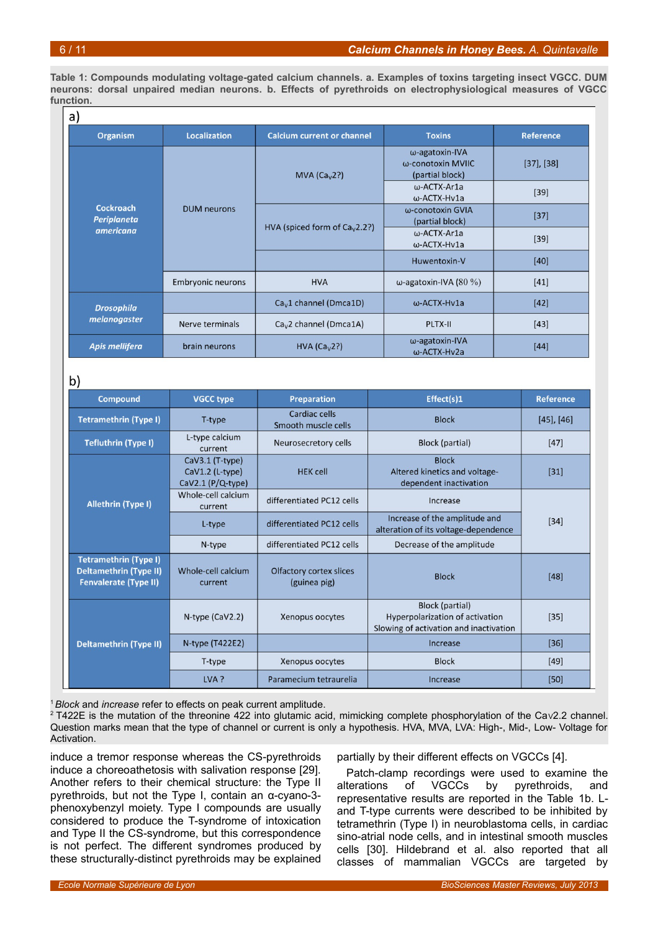<span id="page-5-0"></span>**Table 1: Compounds modulating voltage-gated calcium channels. a. Examples of toxins targeting insect VGCC. DUM neurons: dorsal unpaired median neurons. b. Effects of pyrethroids on electrophysiological measures of VGCC function.**

| a)                                           |                          |                                   |                                                        |                  |
|----------------------------------------------|--------------------------|-----------------------------------|--------------------------------------------------------|------------------|
| <b>Organism</b>                              | <b>Localization</b>      | <b>Calcium current or channel</b> | <b>Toxins</b>                                          | <b>Reference</b> |
| <b>Cockroach</b><br>Periplaneta<br>americana | <b>DUM</b> neurons       | MVA (Ca <sub>v</sub> 2?)          | ω-agatoxin-IVA<br>ω-conotoxin MVIIC<br>(partial block) | $[37]$ , $[38]$  |
|                                              |                          |                                   | $\omega$ -ACTX-Ar1a<br>ω-ACTX-Hv1a                     | $[39]$           |
|                                              |                          | HVA (spiced form of $Cav2.2$ ?)   | ω-conotoxin GVIA<br>(partial block)                    | $[37]$           |
|                                              |                          |                                   | $\omega$ -ACTX-Ar1a<br>ω-ACTX-Hv1a                     | $[39]$           |
|                                              |                          |                                   | Huwentoxin-V                                           | $[40]$           |
|                                              | <b>Embryonic neurons</b> | <b>HVA</b>                        | ω-agatoxin-IVA (80 %)                                  | $[41]$           |
| <b>Drosophila</b><br>melanogaster            |                          | $Cav1$ channel (Dmca1D)           | $\omega$ -ACTX-Hv1a                                    | $[42]$           |
|                                              | Nerve terminals          | $Cav2$ channel (Dmca1A)           | PLTX-II                                                | $[43]$           |
| Apis mellifera                               | brain neurons            | HVA (Ca <sub>v</sub> 2?)          | ω-agatoxin-IVA<br>ω-ACTX-Hv2a                          | $[44]$           |

 $h)$ 

| ∼,<br><b>Compound</b>                                                                         | <b>VGCC type</b>                                          | <b>Preparation</b>                      | Effect(s)1                                                                                          | <b>Reference</b> |  |
|-----------------------------------------------------------------------------------------------|-----------------------------------------------------------|-----------------------------------------|-----------------------------------------------------------------------------------------------------|------------------|--|
| <b>Tetramethrin (Type I)</b>                                                                  | T-type                                                    | Cardiac cells<br>Smooth muscle cells    | <b>Block</b>                                                                                        | $[45]$ , $[46]$  |  |
| <b>Tefluthrin (Type I)</b>                                                                    | L-type calcium<br>current                                 | Neurosecretory cells                    | <b>Block (partial)</b>                                                                              | $[47]$           |  |
| <b>Allethrin (Type I)</b>                                                                     | CaV3.1 (T-type)<br>CaV1.2 (L-type)<br>$CaV2.1 (P/Q-type)$ | <b>HEK</b> cell                         | <b>Block</b><br>Altered kinetics and voltage-<br>dependent inactivation                             | $[31]$           |  |
|                                                                                               | Whole-cell calcium<br>current                             | differentiated PC12 cells               | Increase                                                                                            | $[34]$           |  |
|                                                                                               | L-type                                                    | differentiated PC12 cells               | Increase of the amplitude and<br>alteration of its voltage-dependence                               |                  |  |
|                                                                                               | N-type                                                    | differentiated PC12 cells               | Decrease of the amplitude                                                                           |                  |  |
| <b>Tetramethrin (Type I)</b><br><b>Deltamethrin (Type II)</b><br><b>Fenvalerate (Type II)</b> | Whole-cell calcium<br>current                             | Olfactory cortex slices<br>(guinea pig) | <b>Block</b>                                                                                        | $[48]$           |  |
| <b>Deltamethrin (Type II)</b>                                                                 | $N$ -type (CaV2.2)                                        | Xenopus oocytes                         | <b>Block (partial)</b><br>Hyperpolarization of activation<br>Slowing of activation and inactivation | $[35]$           |  |
|                                                                                               | $N$ -type (T422E2)                                        |                                         | Increase                                                                                            | $[36]$           |  |
|                                                                                               | T-type                                                    | Xenopus oocytes                         | <b>Block</b>                                                                                        | $[49]$           |  |
|                                                                                               | LVA?                                                      | Paramecium tetraurelia                  | Increase                                                                                            | $[50]$           |  |

<sup>1</sup>*Block* and *increase* refer to effects on peak current amplitude.

 $2$  T422E is the mutation of the threonine 422 into glutamic acid, mimicking complete phosphorylation of the Cav2.2 channel. Question marks mean that the type of channel or current is only a hypothesis. HVA, MVA, LVA: High-, Mid-, Low- Voltage for Activation.

induce a tremor response whereas the CS-pyrethroids induce a choreoathetosis with salivation response [29]. Another refers to their chemical structure: the Type II pyrethroids, but not the Type I, contain an α-cyano-3 phenoxybenzyl moiety. Type I compounds are usually considered to produce the T-syndrome of intoxication and Type II the CS-syndrome, but this correspondence is not perfect. The different syndromes produced by these structurally-distinct pyrethroids may be explained partially by their different effects on VGCCs [4].

Patch-clamp recordings were used to examine the alterations of VGCCs by pyrethroids, and representative results are reported in the Table [1b](#page-5-0). Land T-type currents were described to be inhibited by tetramethrin (Type I) in neuroblastoma cells, in cardiac sino-atrial node cells, and in intestinal smooth muscles cells [30]. Hildebrand et al. also reported that all classes of mammalian VGCCs are targeted by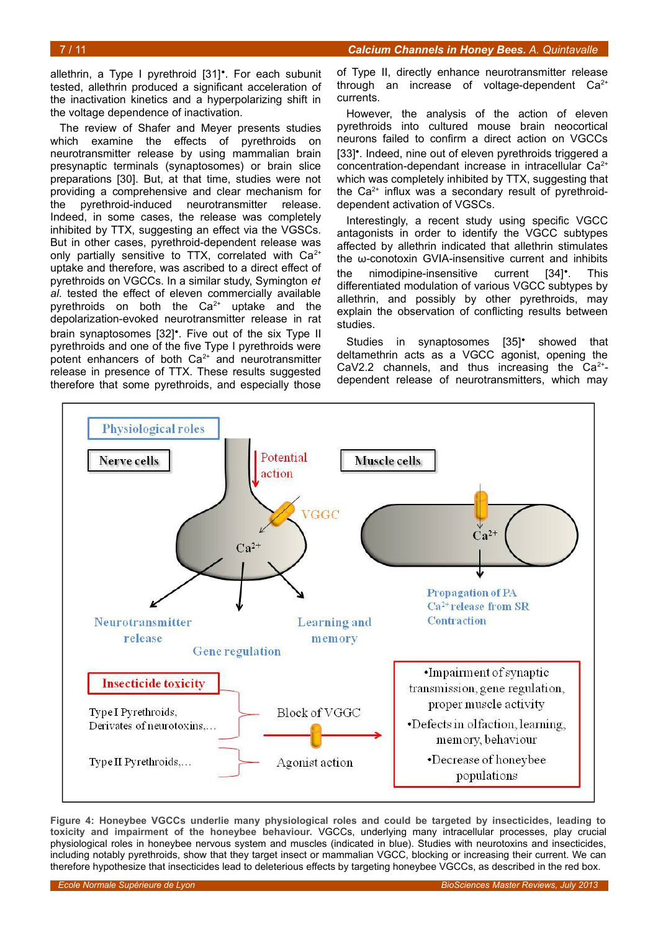allethrin, a Type I pyrethroid [31]•. For each subunit tested, allethrin produced a significant acceleration of the inactivation kinetics and a hyperpolarizing shift in the voltage dependence of inactivation.

The review of Shafer and Meyer presents studies which examine the effects of pyrethroids on neurotransmitter release by using mammalian brain presynaptic terminals (synaptosomes) or brain slice preparations [30]. But, at that time, studies were not providing a comprehensive and clear mechanism for the pyrethroid-induced neurotransmitter release. Indeed, in some cases, the release was completely inhibited by TTX, suggesting an effect via the VGSCs. But in other cases, pyrethroid-dependent release was only partially sensitive to TTX, correlated with  $Ca<sup>2+</sup>$ uptake and therefore, was ascribed to a direct effect of pyrethroids on VGCCs. In a similar study, Symington *et al*. tested the effect of eleven commercially available pyrethroids on both the  $Ca^{2+}$  uptake and the depolarization-evoked neurotransmitter release in rat brain synaptosomes [32]•. Five out of the six Type II pyrethroids and one of the five Type I pyrethroids were potent enhancers of both  $Ca^{2+}$  and neurotransmitter release in presence of TTX. These results suggested therefore that some pyrethroids, and especially those

of Type II, directly enhance neurotransmitter release through an increase of voltage-dependent  $Ca<sup>2+</sup>$ currents.

However, the analysis of the action of eleven pyrethroids into cultured mouse brain neocortical neurons failed to confirm a direct action on VGCCs [33]<sup>•</sup>. Indeed, nine out of eleven pyrethroids triggered a  $\frac{1}{2}$ concentration-dependant increase in intracellular Ca<sup>2+</sup> which was completely inhibited by TTX, suggesting that the  $Ca<sup>2+</sup>$  influx was a secondary result of pyrethroiddependent activation of VGSCs.

Interestingly, a recent study using specific VGCC antagonists in order to identify the VGCC subtypes affected by allethrin indicated that allethrin stimulates the ω-conotoxin GVIA-insensitive current and inhibits the nimodipine-insensitive current [34]•. This differentiated modulation of various VGCC subtypes by allethrin, and possibly by other pyrethroids, may explain the observation of conflicting results between studies.

Studies in synaptosomes [35]• showed that deltamethrin acts as a VGCC agonist, opening the CaV2.2 channels, and thus increasing the  $Ca<sup>2+</sup>$ dependent release of neurotransmitters, which may



<span id="page-6-0"></span>**Figure 4: Honeybee VGCCs underlie many physiological roles and could be targeted by insecticides, leading to toxicity and impairment of the honeybee behaviour.** VGCCs, underlying many intracellular processes, play crucial physiological roles in honeybee nervous system and muscles (indicated in blue). Studies with neurotoxins and insecticides, including notably pyrethroids, show that they target insect or mammalian VGCC, blocking or increasing their current. We can therefore hypothesize that insecticides lead to deleterious effects by targeting honeybee VGCCs, as described in the red box.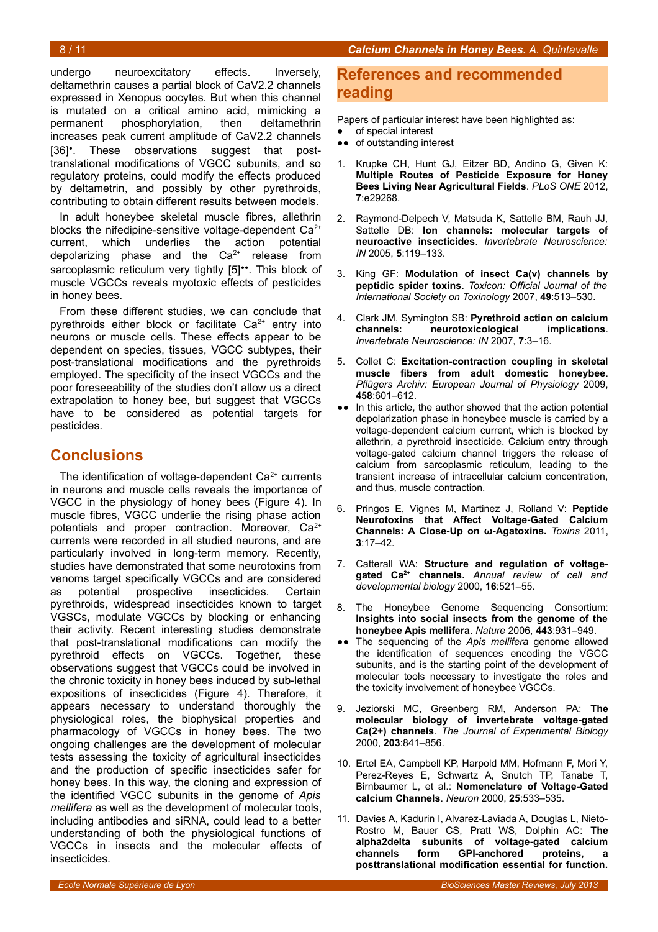### 8 / 11 *Calcium Channels in Honey Bees. A. Quintavalle*

undergo neuroexcitatory effects. Inversely, deltamethrin causes a partial block of CaV2.2 channels expressed in Xenopus oocytes. But when this channel is mutated on a critical amino acid, mimicking a permanent phosphorylation, then deltamethrin increases peak current amplitude of CaV2.2 channels [36]<sup>•</sup>. These observations suggest that posttranslational modifications of VGCC subunits, and so regulatory proteins, could modify the effects produced by deltametrin, and possibly by other pyrethroids, contributing to obtain different results between models.

In adult honeybee skeletal muscle fibres, allethrin blocks the nifedipine-sensitive voltage-dependent  $Ca<sup>2+</sup>$ current, which underlies the action potential depolarizing phase and the  $Ca<sup>2+</sup>$  release from sarcoplasmic reticulum very tightly [5]<sup>••</sup>. This block of muscle VGCCs reveals myotoxic effects of pesticides in honey bees.

From these different studies, we can conclude that pyrethroids either block or facilitate  $Ca<sup>2+</sup>$  entry into neurons or muscle cells. These effects appear to be dependent on species, tissues, VGCC subtypes, their post-translational modifications and the pyrethroids employed. The specificity of the insect VGCCs and the poor foreseeability of the studies don't allow us a direct extrapolation to honey bee, but suggest that VGCCs have to be considered as potential targets for pesticides.

## **Conclusions**

The identification of voltage-dependent  $Ca<sup>2+</sup>$  currents in neurons and muscle cells reveals the importance of VGCC in the physiology of honey bees (Figure [4\)](#page-6-0). In muscle fibres, VGCC underlie the rising phase action potentials and proper contraction. Moreover,  $Ca<sup>2+</sup>$ currents were recorded in all studied neurons, and are particularly involved in long-term memory. Recently, studies have demonstrated that some neurotoxins from venoms target specifically VGCCs and are considered as potential prospective insecticides. Certain pyrethroids, widespread insecticides known to target VGSCs, modulate VGCCs by blocking or enhancing their activity. Recent interesting studies demonstrate that post-translational modifications can modify the pyrethroid effects on VGCCs. Together, these observations suggest that VGCCs could be involved in the chronic toxicity in honey bees induced by sub-lethal expositions of insecticides (Figure [4\)](#page-6-0). Therefore, it appears necessary to understand thoroughly the physiological roles, the biophysical properties and pharmacology of VGCCs in honey bees. The two ongoing challenges are the development of molecular tests assessing the toxicity of agricultural insecticides and the production of specific insecticides safer for honey bees. In this way, the cloning and expression of the identified VGCC subunits in the genome of *Apis mellifera* as well as the development of molecular tools, including antibodies and siRNA, could lead to a better understanding of both the physiological functions of VGCCs in insects and the molecular effects of insecticides.

## **References and recommended reading**

Papers of particular interest have been highlighted as:

- of special interest ●● of outstanding interest
- 1. Krupke CH, Hunt GJ, Eitzer BD, Andino G, Given K: **Multiple Routes of Pesticide Exposure for Honey Bees Living Near Agricultural Fields**. *PLoS ONE* 2012, **7**:e29268.
- 2. Raymond-Delpech V, Matsuda K, Sattelle BM, Rauh JJ, Sattelle DB: **Ion channels: molecular targets of neuroactive insecticides**. *Invertebrate Neuroscience: IN* 2005, **5**:119–133.
- 3. King GF: **Modulation of insect Ca(v) channels by peptidic spider toxins**. *Toxicon: Official Journal of the International Society on Toxinology* 2007, **49**:513–530.
- 4. Clark JM, Symington SB: **Pyrethroid action on calcium channels: neurotoxicological implications**. *Invertebrate Neuroscience: IN* 2007, **7**:3–16.
- 5. Collet C: **Excitation-contraction coupling in skeletal muscle fibers from adult domestic honeybee**. *Pflügers Archiv: European Journal of Physiology* 2009, **458**:601–612.
- ●● In this article, the author showed that the action potential depolarization phase in honeybee muscle is carried by a voltage-dependent calcium current, which is blocked by allethrin, a pyrethroid insecticide. Calcium entry through voltage-gated calcium channel triggers the release of calcium from sarcoplasmic reticulum, leading to the transient increase of intracellular calcium concentration, and thus, muscle contraction.
- 6. Pringos E, Vignes M, Martinez J, Rolland V: **Peptide Neurotoxins that Affect Voltage-Gated Calcium Channels: A Close-Up on ω-Agatoxins.** *Toxins* 2011, **3**:17–42.
- 7. Catterall WA: **Structure and regulation of voltagegated Ca2+ channels.** *Annual review of cell and developmental biology* 2000, **16**:521–55.
- 8. The Honeybee Genome Sequencing Consortium: **Insights into social insects from the genome of the honeybee Apis mellifera**. *Nature* 2006, **443**:931–949.
- ●● The sequencing of the *Apis mellifera* genome allowed the identification of sequences encoding the VGCC subunits, and is the starting point of the development of molecular tools necessary to investigate the roles and the toxicity involvement of honeybee VGCCs.
- 9. Jeziorski MC, Greenberg RM, Anderson PA: **The molecular biology of invertebrate voltage-gated Ca(2+) channels**. *The Journal of Experimental Biology* 2000, **203**:841–856.
- 10. Ertel EA, Campbell KP, Harpold MM, Hofmann F, Mori Y, Perez-Reyes E, Schwartz A, Snutch TP, Tanabe T, Birnbaumer L, et al.: **Nomenclature of Voltage-Gated calcium Channels**. *Neuron* 2000, **25**:533–535.
- 11. Davies A, Kadurin I, Alvarez-Laviada A, Douglas L, Nieto-Rostro M, Bauer CS, Pratt WS, Dolphin AC: **The alpha2delta subunits of voltage-gated calcium channels form GPI-anchored proteins, a posttranslational modification essential for function.**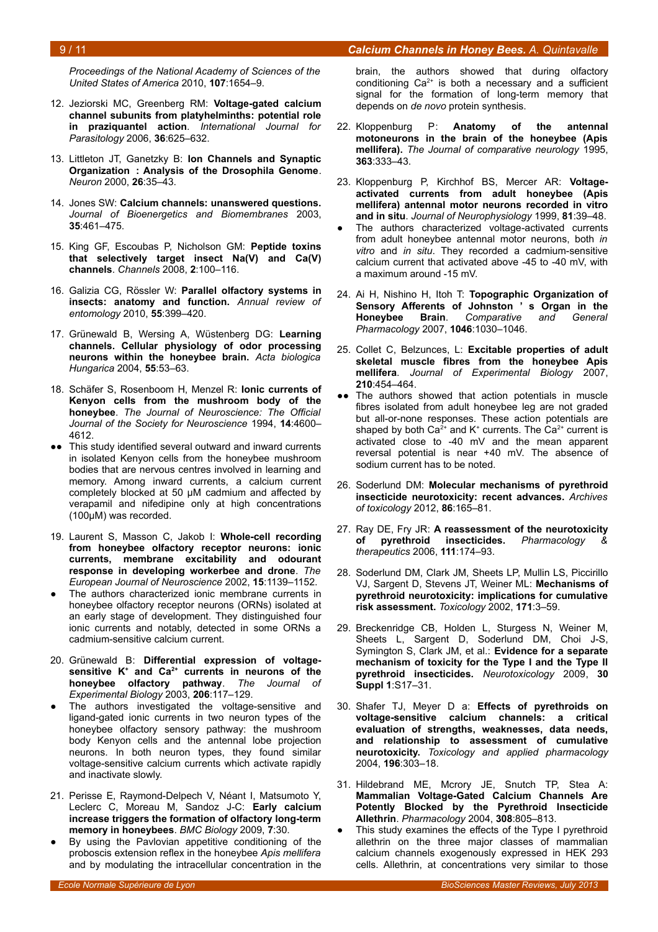*Proceedings of the National Academy of Sciences of the United States of America* 2010, **107**:1654–9.

- 12. Jeziorski MC, Greenberg RM: **Voltage-gated calcium channel subunits from platyhelminths: potential role in praziquantel action**. *International Journal for Parasitology* 2006, **36**:625–632.
- 13. Littleton JT, Ganetzky B: **Ion Channels and Synaptic Organization : Analysis of the Drosophila Genome**. *Neuron* 2000, **26**:35–43.
- 14. Jones SW: **Calcium channels: unanswered questions.** *Journal of Bioenergetics and Biomembranes* 2003, **35**:461–475.
- 15. King GF, Escoubas P, Nicholson GM: **Peptide toxins that selectively target insect Na(V) and Ca(V) channels**. *Channels* 2008, **2**:100–116.
- 16. Galizia CG, Rössler W: **Parallel olfactory systems in insects: anatomy and function.** *Annual review of entomology* 2010, **55**:399–420.
- 17. Grünewald B, Wersing A, Wüstenberg DG: **Learning channels. Cellular physiology of odor processing neurons within the honeybee brain.** *Acta biologica Hungarica* 2004, **55**:53–63.
- 18. Schäfer S, Rosenboom H, Menzel R: **Ionic currents of Kenyon cells from the mushroom body of the honeybee**. *The Journal of Neuroscience: The Official Journal of the Society for Neuroscience* 1994, **14**:4600– 4612.
- ●● This study identified several outward and inward currents in isolated Kenyon cells from the honeybee mushroom bodies that are nervous centres involved in learning and memory. Among inward currents, a calcium current completely blocked at 50 μM cadmium and affected by verapamil and nifedipine only at high concentrations (100μM) was recorded.
- 19. Laurent S, Masson C, Jakob I: **Whole-cell recording from honeybee olfactory receptor neurons: ionic currents, membrane excitability and odourant response in developing workerbee and drone**. *The European Journal of Neuroscience* 2002, **15**:1139–1152.
- The authors characterized ionic membrane currents in honeybee olfactory receptor neurons (ORNs) isolated at an early stage of development. They distinguished four ionic currents and notably, detected in some ORNs a cadmium-sensitive calcium current.
- 20. Grünewald B: **Differential expression of voltagesensitive K<sup>+</sup> and Ca2+ currents in neurons of the honeybee olfactory pathway**. *The Journal of Experimental Biology* 2003, **206**:117–129.
- The authors investigated the voltage-sensitive and ligand-gated ionic currents in two neuron types of the honeybee olfactory sensory pathway: the mushroom body Kenyon cells and the antennal lobe projection neurons. In both neuron types, they found similar voltage-sensitive calcium currents which activate rapidly and inactivate slowly.
- 21. Perisse E, Raymond-Delpech V, Néant I, Matsumoto Y, Leclerc C, Moreau M, Sandoz J-C: **Early calcium increase triggers the formation of olfactory long-term memory in honeybees**. *BMC Biology* 2009, **7**:30.
- By using the Pavlovian appetitive conditioning of the proboscis extension reflex in the honeybee *Apis mellifera* and by modulating the intracellular concentration in the

brain, the authors showed that during olfactory conditioning  $Ca^{2+}$  is both a necessary and a sufficient signal for the formation of long-term memory that depends on *de novo* protein synthesis.

- 22. Kloppenburg P: **Anatomy of the antennal motoneurons in the brain of the honeybee (Apis mellifera).** *The Journal of comparative neurology* 1995, **363**:333–43.
- 23. Kloppenburg P, Kirchhof BS, Mercer AR: **Voltageactivated currents from adult honeybee (Apis mellifera) antennal motor neurons recorded in vitro and in situ**. *Journal of Neurophysiology* 1999, **81**:39–48.
- The authors characterized voltage-activated currents from adult honeybee antennal motor neurons, both *in vitro* and *in situ*. They recorded a cadmium-sensitive calcium current that activated above -45 to -40 mV, with a maximum around -15 mV.
- 24. Ai H, Nishino H, Itoh T: **Topographic Organization of Sensory Afferents of Johnston ' s Organ in the Honeybee Brain**. *Comparative and General Pharmacology* 2007, **1046**:1030–1046.
- 25. Collet C, Belzunces, L: **Excitable properties of adult skeletal muscle fibres from the honeybee Apis mellifera**. *Journal of Experimental Biology* 2007, **210**:454–464.
- ●● The authors showed that action potentials in muscle fibres isolated from adult honeybee leg are not graded but all-or-none responses. These action potentials are shaped by both Ca<sup>2+</sup> and K<sup>+</sup> currents. The Ca<sup>2+</sup> current is activated close to -40 mV and the mean apparent reversal potential is near +40 mV. The absence of sodium current has to be noted.
- 26. Soderlund DM: **Molecular mechanisms of pyrethroid insecticide neurotoxicity: recent advances.** *Archives of toxicology* 2012, **86**:165–81.
- 27. Ray DE, Fry JR: **A reassessment of the neurotoxicity of pyrethroid insecticides.** *Pharmacology & therapeutics* 2006, **111**:174–93.
- 28. Soderlund DM, Clark JM, Sheets LP, Mullin LS, Piccirillo VJ, Sargent D, Stevens JT, Weiner ML: **Mechanisms of pyrethroid neurotoxicity: implications for cumulative risk assessment.** *Toxicology* 2002, **171**:3–59.
- 29. Breckenridge CB, Holden L, Sturgess N, Weiner M, Sheets L, Sargent D, Soderlund DM, Choi J-S, Symington S, Clark JM, et al.: **Evidence for a separate mechanism of toxicity for the Type I and the Type II pyrethroid insecticides.** *Neurotoxicology* 2009, **30 Suppl 1**:S17–31.
- 30. Shafer TJ, Meyer D a: **Effects of pyrethroids on voltage-sensitive calcium channels: a critical evaluation of strengths, weaknesses, data needs, and relationship to assessment of cumulative neurotoxicity.** *Toxicology and applied pharmacology* 2004, **196**:303–18.
- 31. Hildebrand ME, Mcrory JE, Snutch TP, Stea A: **Mammalian Voltage-Gated Calcium Channels Are Potently Blocked by the Pyrethroid Insecticide Allethrin**. *Pharmacology* 2004, **308**:805–813.
- This study examines the effects of the Type I pyrethroid allethrin on the three major classes of mammalian calcium channels exogenously expressed in HEK 293 cells. Allethrin, at concentrations very similar to those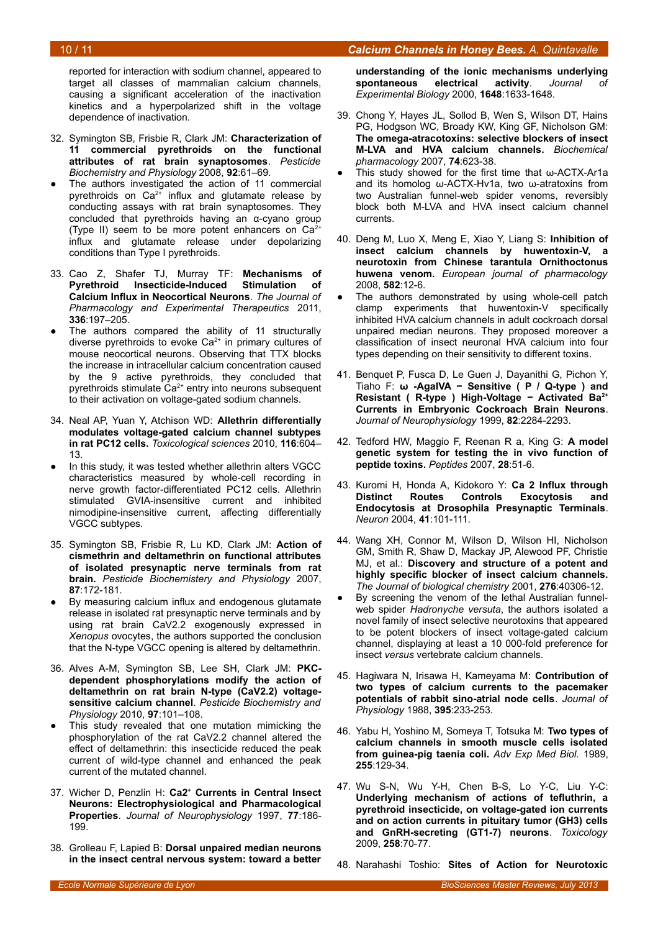#### 10 / 11 *Calcium Channels in Honey Bees. A. Quintavalle*

reported for interaction with sodium channel, appeared to target all classes of mammalian calcium channels, causing a significant acceleration of the inactivation kinetics and a hyperpolarized shift in the voltage dependence of inactivation.

- 32. Symington SB, Frisbie R, Clark JM: **Characterization of 11 commercial pyrethroids on the functional attributes of rat brain synaptosomes**. *Pesticide Biochemistry and Physiology* 2008, **92**:61–69.
- The authors investigated the action of 11 commercial pyrethroids on  $Ca^{2+}$  influx and glutamate release by conducting assays with rat brain synaptosomes. They concluded that pyrethroids having an α-cyano group (Type II) seem to be more potent enhancers on  $Ca<sup>2+</sup>$ influx and glutamate release under depolarizing conditions than Type I pyrethroids.
- 33. Cao Z, Shafer TJ, Murray TF: **Mechanisms of Pyrethroid Insecticide-Induced Stimulation of Calcium Influx in Neocortical Neurons**. *The Journal of Pharmacology and Experimental Therapeutics* 2011, **336**:197–205.
- The authors compared the ability of 11 structurally diverse pyrethroids to evoke  $Ca<sup>2+</sup>$  in primary cultures of mouse neocortical neurons. Observing that TTX blocks the increase in intracellular calcium concentration caused by the 9 active pyrethroids, they concluded that pyrethroids stimulate  $Ca<sup>2+</sup>$  entry into neurons subsequent to their activation on voltage-gated sodium channels.
- 34. Neal AP, Yuan Y, Atchison WD: **Allethrin differentially modulates voltage-gated calcium channel subtypes in rat PC12 cells.** *Toxicological sciences* 2010, **116**:604– 13.
- In this study, it was tested whether allethrin alters VGCC characteristics measured by whole-cell recording in nerve growth factor-differentiated PC12 cells. Allethrin stimulated GVIA-insensitive current and inhibited nimodipine-insensitive current, affecting differentially VGCC subtypes.
- 35. Symington SB, Frisbie R, Lu KD, Clark JM: **Action of cismethrin and deltamethrin on functional attributes of isolated presynaptic nerve terminals from rat brain.** *Pesticide Biochemistery and Physiology* 2007, **87**:172-181.
- By measuring calcium influx and endogenous glutamate release in isolated rat presynaptic nerve terminals and by using rat brain CaV2.2 exogenously expressed in *Xenopus* ovocytes, the authors supported the conclusion that the N-type VGCC opening is altered by deltamethrin.
- 36. Alves A-M, Symington SB, Lee SH, Clark JM: **PKCdependent phosphorylations modify the action of deltamethrin on rat brain N-type (CaV2.2) voltagesensitive calcium channel**. *Pesticide Biochemistry and Physiology* 2010, **97**:101–108.
- This study revealed that one mutation mimicking the phosphorylation of the rat CaV2.2 channel altered the effect of deltamethrin: this insecticide reduced the peak current of wild-type channel and enhanced the peak current of the mutated channel.
- 37. Wicher D, Penzlin H: **Ca2<sup>+</sup> Currents in Central Insect Neurons: Electrophysiological and Pharmacological Properties**. *Journal of Neurophysiology* 1997, **77**:186- 199.
- 38. Grolleau F, Lapied B: **Dorsal unpaired median neurons in the insect central nervous system: toward a better**

**understanding of the ionic mechanisms underlying spontaneous electrical activity**. *Journal of Experimental Biology* 2000, **1648**:1633-1648.

- 39. Chong Y, Hayes JL, Sollod B, Wen S, Wilson DT, Hains PG, Hodgson WC, Broady KW, King GF, Nicholson GM: **The omega-atracotoxins: selective blockers of insect M-LVA and HVA calcium channels.** *Biochemical pharmacology* 2007, **74**:623-38.
- This study showed for the first time that  $\omega$ -ACTX-Ar1a and its homolog ω-ACTX-Hv1a, two ω-atratoxins from two Australian funnel-web spider venoms, reversibly block both M-LVA and HVA insect calcium channel currents.
- 40. Deng M, Luo X, Meng E, Xiao Y, Liang S: **Inhibition of insect calcium channels by huwentoxin-V, a neurotoxin from Chinese tarantula Ornithoctonus huwena venom.** *European journal of pharmacology* 2008, **582**:12-6.
- The authors demonstrated by using whole-cell patch clamp experiments that huwentoxin-V specifically inhibited HVA calcium channels in adult cockroach dorsal unpaired median neurons. They proposed moreover a classification of insect neuronal HVA calcium into four types depending on their sensitivity to different toxins.
- 41. Benquet P, Fusca D, Le Guen J, Dayanithi G, Pichon Y, Tiaho F: **ω -AgaIVA − Sensitive ( P / Q-type ) and Resistant ( R-type ) High-Voltage − Activated Ba2+ Currents in Embryonic Cockroach Brain Neurons**. *Journal of Neurophysiology* 1999, **82**:2284-2293.
- 42. Tedford HW, Maggio F, Reenan R a, King G: **A model genetic system for testing the in vivo function of peptide toxins.** *Peptides* 2007, **28**:51-6.
- 43. Kuromi H, Honda A, Kidokoro Y: **Ca 2 Influx through Distinct Routes Controls Exocytosis and Endocytosis at Drosophila Presynaptic Terminals**. *Neuron* 2004, **41**:101-111.
- 44. Wang XH, Connor M, Wilson D, Wilson HI, Nicholson GM, Smith R, Shaw D, Mackay JP, Alewood PF, Christie MJ, et al.: **Discovery and structure of a potent and highly specific blocker of insect calcium channels.** *The Journal of biological chemistry* 2001, **276**:40306-12.
- By screening the venom of the lethal Australian funnelweb spider *Hadronyche versuta*, the authors isolated a novel family of insect selective neurotoxins that appeared to be potent blockers of insect voltage-gated calcium channel, displaying at least a 10 000-fold preference for insect *versus* vertebrate calcium channels.
- 45. Hagiwara N, Irisawa H, Kameyama M: **Contribution of two types of calcium currents to the pacemaker potentials of rabbit sino-atrial node cells**. *Journal of Physiology* 1988, **395**:233-253.
- 46. Yabu H, Yoshino M, Someya T, Totsuka M: **Two types of calcium channels in smooth muscle cells isolated from guinea-pig taenia coli.** *Adv Exp Med Biol.* 1989, **255**:129-34.
- 47. Wu S-N, Wu Y-H, Chen B-S, Lo Y-C, Liu Y-C: **Underlying mechanism of actions of tefluthrin, a pyrethroid insecticide, on voltage-gated ion currents and on action currents in pituitary tumor (GH3) cells and GnRH-secreting (GT1-7) neurons**. *Toxicology* 2009, **258**:70-77.

48. Narahashi Toshio: **Sites of Action for Neurotoxic**